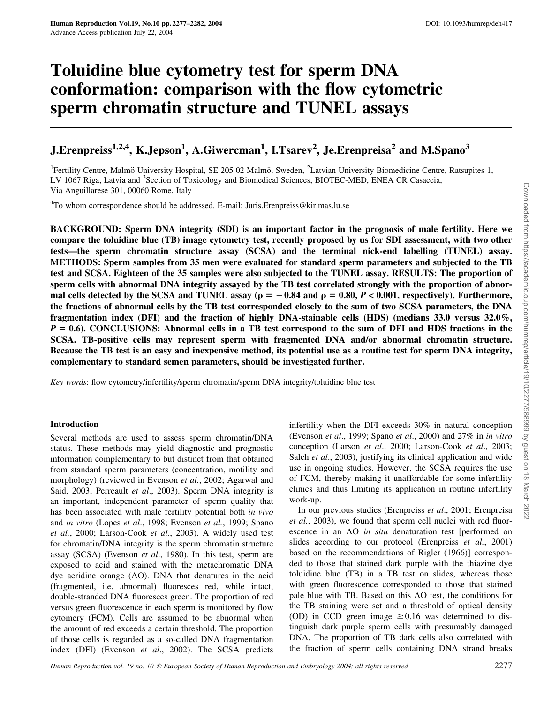# Toluidine blue cytometry test for sperm DNA conformation: comparison with the flow cytometric sperm chromatin structure and TUNEL assays

# J.Erenpreiss $^{1,2,4}$ , K.Jepson $^{1}$ , A.Giwercman $^{1}$ , I.Tsarev $^{2}$ , Je.Erenpreisa $^{2}$  and M.Spano $^{3}$

<sup>1</sup> Fertility Centre, Malmö University Hospital, SE 205 02 Malmö, Sweden, <sup>2</sup>Latvian University Biomedicine Centre, Ratsupites 1, LV 1067 Riga, Latvia and <sup>3</sup>Section of Toxicology and Biomedical Sciences, BIOTEC-MED, ENEA CR Casaccia, Via Anguillarese 301, 00060 Rome, Italy

<sup>4</sup>To whom correspondence should be addressed. E-mail: Juris.Erenpreiss@kir.mas.lu.se

BACKGROUND: Sperm DNA integrity (SDI) is an important factor in the prognosis of male fertility. Here we compare the toluidine blue (TB) image cytometry test, recently proposed by us for SDI assessment, with two other tests—the sperm chromatin structure assay (SCSA) and the terminal nick-end labelling (TUNEL) assay. METHODS: Sperm samples from 35 men were evaluated for standard sperm parameters and subjected to the TB test and SCSA. Eighteen of the 35 samples were also subjected to the TUNEL assay. RESULTS: The proportion of sperm cells with abnormal DNA integrity assayed by the TB test correlated strongly with the proportion of abnormal cells detected by the SCSA and TUNEL assay ( $\rho = -0.84$  and  $\rho = 0.80$ ,  $P < 0.001$ , respectively). Furthermore, the fractions of abnormal cells by the TB test corresponded closely to the sum of two SCSA parameters, the DNA fragmentation index (DFI) and the fraction of highly DNA-stainable cells (HDS) (medians 33.0 versus 32.0%,  $P = 0.6$ ). CONCLUSIONS: Abnormal cells in a TB test correspond to the sum of DFI and HDS fractions in the SCSA. TB-positive cells may represent sperm with fragmented DNA and/or abnormal chromatin structure. Because the TB test is an easy and inexpensive method, its potential use as a routine test for sperm DNA integrity, complementary to standard semen parameters, should be investigated further.

Key words: flow cytometry/infertility/sperm chromatin/sperm DNA integrity/toluidine blue test

### Introduction

Several methods are used to assess sperm chromatin/DNA status. These methods may yield diagnostic and prognostic information complementary to but distinct from that obtained from standard sperm parameters (concentration, motility and morphology) (reviewed in Evenson et al., 2002; Agarwal and Said, 2003; Perreault et al., 2003). Sperm DNA integrity is an important, independent parameter of sperm quality that has been associated with male fertility potential both in vivo and in vitro (Lopes et al., 1998; Evenson et al., 1999; Spano et al., 2000; Larson-Cook et al., 2003). A widely used test for chromatin/DNA integrity is the sperm chromatin structure assay (SCSA) (Evenson et al., 1980). In this test, sperm are exposed to acid and stained with the metachromatic DNA dye acridine orange (AO). DNA that denatures in the acid (fragmented, i.e. abnormal) fluoresces red, while intact, double-stranded DNA fluoresces green. The proportion of red versus green fluorescence in each sperm is monitored by flow cytomery (FCM). Cells are assumed to be abnormal when the amount of red exceeds a certain threshold. The proportion of those cells is regarded as a so-called DNA fragmentation index (DFI) (Evenson et al., 2002). The SCSA predicts

infertility when the DFI exceeds 30% in natural conception (Evenson et al., 1999; Spano et al., 2000) and 27% in in vitro conception (Larson et al., 2000; Larson-Cook et al., 2003; Saleh *et al.*, 2003), justifying its clinical application and wide use in ongoing studies. However, the SCSA requires the use of FCM, thereby making it unaffordable for some infertility clinics and thus limiting its application in routine infertility work-up.

In our previous studies (Erenpreiss et al., 2001; Erenpreisa et al., 2003), we found that sperm cell nuclei with red fluorescence in an AO in situ denaturation test [performed on slides according to our protocol (Erenpreiss et al., 2001) based on the recommendations of Rigler (1966)] corresponded to those that stained dark purple with the thiazine dye toluidine blue (TB) in a TB test on slides, whereas those with green fluorescence corresponded to those that stained pale blue with TB. Based on this AO test, the conditions for the TB staining were set and a threshold of optical density (OD) in CCD green image  $\geq 0.16$  was determined to distinguish dark purple sperm cells with presumably damaged DNA. The proportion of TB dark cells also correlated with the fraction of sperm cells containing DNA strand breaks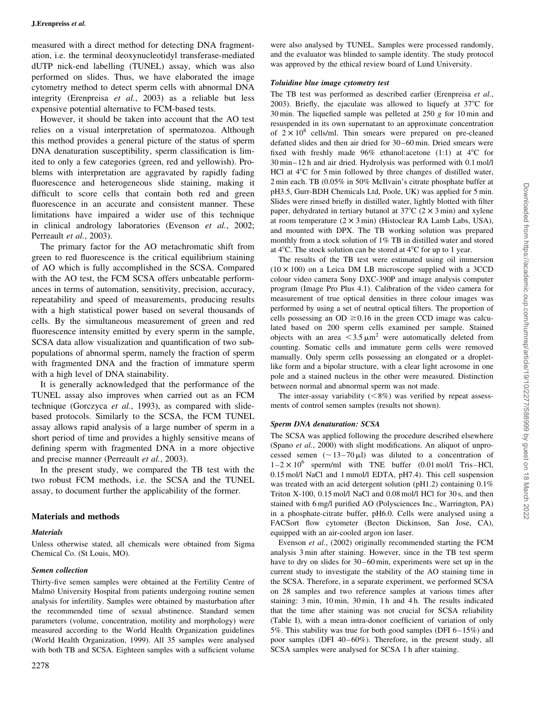measured with a direct method for detecting DNA fragmentation, i.e. the terminal deoxynucleotidyl transferase-mediated dUTP nick-end labelling (TUNEL) assay, which was also performed on slides. Thus, we have elaborated the image cytometry method to detect sperm cells with abnormal DNA integrity (Erenpreisa et al., 2003) as a reliable but less expensive potential alternative to FCM-based tests.

However, it should be taken into account that the AO test relies on a visual interpretation of spermatozoa. Although this method provides a general picture of the status of sperm DNA denaturation susceptibility, sperm classification is limited to only a few categories (green, red and yellowish). Problems with interpretation are aggravated by rapidly fading fluorescence and heterogeneous slide staining, making it difficult to score cells that contain both red and green fluorescence in an accurate and consistent manner. These limitations have impaired a wider use of this technique in clinical andrology laboratories (Evenson et al., 2002; Perreault *et al.*, 2003).

The primary factor for the AO metachromatic shift from green to red fluorescence is the critical equilibrium staining of AO which is fully accomplished in the SCSA. Compared with the AO test, the FCM SCSA offers unbeatable performances in terms of automation, sensitivity, precision, accuracy, repeatability and speed of measurements, producing results with a high statistical power based on several thousands of cells. By the simultaneous measurement of green and red fluorescence intensity emitted by every sperm in the sample, SCSA data allow visualization and quantification of two subpopulations of abnormal sperm, namely the fraction of sperm with fragmented DNA and the fraction of immature sperm with a high level of DNA stainability.

It is generally acknowledged that the performance of the TUNEL assay also improves when carried out as an FCM technique (Gorczyca et al., 1993), as compared with slidebased protocols. Similarly to the SCSA, the FCM TUNEL assay allows rapid analysis of a large number of sperm in a short period of time and provides a highly sensitive means of defining sperm with fragmented DNA in a more objective and precise manner (Perreault et al., 2003).

In the present study, we compared the TB test with the two robust FCM methods, i.e. the SCSA and the TUNEL assay, to document further the applicability of the former.

#### Materials and methods

#### **Materials**

Unless otherwise stated, all chemicals were obtained from Sigma Chemical Co. (St Louis, MO).

#### Semen collection

Thirty-five semen samples were obtained at the Fertility Centre of Malmö University Hospital from patients undergoing routine semen analysis for infertility. Samples were obtained by masturbation after the recommended time of sexual abstinence. Standard semen parameters (volume, concentration, motility and morphology) were measured according to the World Health Organization guidelines (World Health Organization, 1999). All 35 samples were analysed with both TB and SCSA. Eighteen samples with a sufficient volume

were also analysed by TUNEL. Samples were processed randomly, and the evaluator was blinded to sample identity. The study protocol was approved by the ethical review board of Lund University.

#### Toluidine blue image cytometry test

The TB test was performed as described earlier (Erenpreisa et al., 2003). Briefly, the ejaculate was allowed to liquefy at  $37^{\circ}$ C for 30 min. The liquefied sample was pelleted at 250 g for 10 min and resuspended in its own supernatant to an approximate concentration of  $2 \times 10^8$  cells/ml. Thin smears were prepared on pre-cleaned defatted slides and then air dried for 30–60 min. Dried smears were fixed with freshly made  $96\%$  ethanol: acetone (1:1) at  $4^{\circ}$ C for 30 min–12 h and air dried. Hydrolysis was performed with 0.1 mol/l HCl at  $4^{\circ}$ C for 5 min followed by three changes of distilled water, 2 min each. TB (0.05% in 50% McIlvain's citrate phosphate buffer at pH3.5, Gurr-BDH Chemicals Ltd, Poole, UK) was applied for 5 min. Slides were rinsed briefly in distilled water, lightly blotted with filter paper, dehydrated in tertiary butanol at  $37^{\circ}$ C (2  $\times$  3 min) and xylene at room temperature  $(2 \times 3 \text{ min})$  (Histoclear RA Lamb Labs, USA), and mounted with DPX. The TB working solution was prepared monthly from a stock solution of 1% TB in distilled water and stored at  $4^{\circ}$ C. The stock solution can be stored at  $4^{\circ}$ C for up to 1 year.

The results of the TB test were estimated using oil immersion  $(10 \times 100)$  on a Leica DM LB microscope supplied with a 3CCD colour video camera Sony DXC-390P and image analysis computer program (Image Pro Plus 4.1). Calibration of the video camera for measurement of true optical densities in three colour images was performed by using a set of neutral optical filters. The proportion of cells possessing an  $OD \ge 0.16$  in the green CCD image was calculated based on 200 sperm cells examined per sample. Stained objects with an area  $<$ 3.5  $\mu$ m<sup>2</sup> were automatically deleted from counting. Somatic cells and immature germ cells were removed manually. Only sperm cells possessing an elongated or a dropletlike form and a bipolar structure, with a clear light acrosome in one pole and a stained nucleus in the other were measured. Distinction between normal and abnormal sperm was not made.

The inter-assay variability  $(< 8\%)$  was verified by repeat assessments of control semen samples (results not shown).

#### Sperm DNA denaturation: SCSA

The SCSA was applied following the procedure described elsewhere (Spano et al., 2000) with slight modifications. An aliquot of unprocessed semen  $({\sim}13-70 \,\mu\text{J})$  was diluted to a concentration of  $1-2 \times 10^6$  sperm/ml with TNE buffer  $(0.01 \text{ mol/l}$  Tris–HCl, 0.15 mol/l NaCl and 1 mmol/l EDTA, pH7.4). This cell suspension was treated with an acid detergent solution (pH1.2) containing 0.1% Triton X-100, 0.15 mol/l NaCl and 0.08 mol/l HCl for 30 s, and then stained with 6 mg/l purified AO (Polysciences Inc., Warrington, PA) in a phosphate-citrate buffer, pH6.0. Cells were analysed using a FACSort flow cytometer (Becton Dickinson, San Jose, CA), equipped with an air-cooled argon ion laser.

Evenson et al., (2002) originally recommended starting the FCM analysis 3 min after staining. However, since in the TB test sperm have to dry on slides for 30–60 min, experiments were set up in the current study to investigate the stability of the AO staining time in the SCSA. Therefore, in a separate experiment, we performed SCSA on 28 samples and two reference samples at various times after staining: 3 min, 10 min, 30 min, 1 h and 4 h. The results indicated that the time after staining was not crucial for SCSA reliability (Table I), with a mean intra-donor coefficient of variation of only 5%. This stability was true for both good samples (DFI 6–15%) and poor samples (DFI 40–60%). Therefore, in the present study, all SCSA samples were analysed for SCSA 1 h after staining.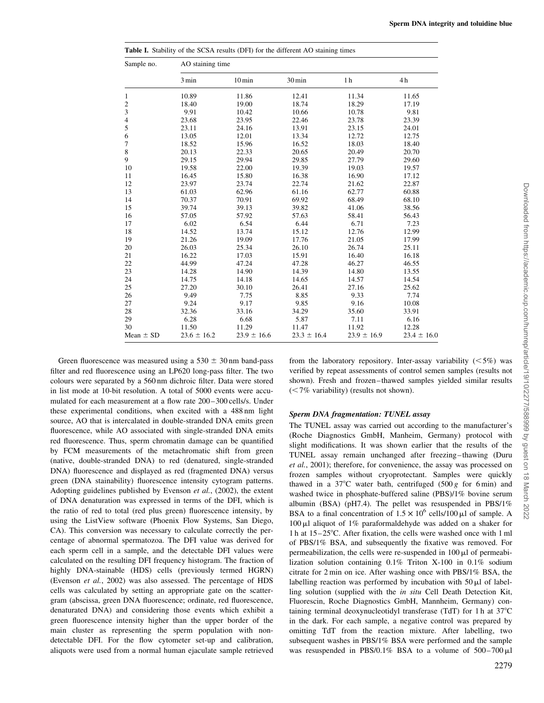| Sample no.              | AO staining time |                     |                 |                 |                 |  |
|-------------------------|------------------|---------------------|-----------------|-----------------|-----------------|--|
|                         | 3 min            | $10 \,\mathrm{min}$ | 30 min          | 1 h             | 4h              |  |
| 1                       | 10.89            | 11.86               | 12.41           | 11.34           | 11.65           |  |
| $\overline{\mathbf{c}}$ | 18.40            | 19.00               | 18.74           | 18.29           | 17.19           |  |
| 3                       | 9.91             | 10.42               | 10.66           | 10.78           | 9.81            |  |
| $\overline{4}$          | 23.68            | 23.95               | 22.46           | 23.78           | 23.39           |  |
| 5                       | 23.11            | 24.16               | 13.91           | 23.15           | 24.01           |  |
| 6                       | 13.05            | 12.01               | 13.34           | 12.72           | 12.75           |  |
| 7                       | 18.52            | 15.96               | 16.52           | 18.03           | 18.40           |  |
| 8                       | 20.13            | 22.33               | 20.65           | 20.49           | 20.70           |  |
| 9                       | 29.15            | 29.94               | 29.85           | 27.79           | 29.60           |  |
| 10                      | 19.58            | 22.00               | 19.39           | 19.03           | 19.57           |  |
| 11                      | 16.45            | 15.80               | 16.38           | 16.90           | 17.12           |  |
| 12                      | 23.97            | 23.74               | 22.74           | 21.62           | 22.87           |  |
| 13                      | 61.03            | 62.96               | 61.16           | 62.77           | 60.88           |  |
| 14                      | 70.37            | 70.91               | 69.92           | 68.49           | 68.10           |  |
| 15                      | 39.74            | 39.13               | 39.82           | 41.06           | 38.56           |  |
| 16                      | 57.05            | 57.92               | 57.63           | 58.41           | 56.43           |  |
| 17                      | 6.02             | 6.54                | 6.44            | 6.71            | 7.23            |  |
| 18                      | 14.52            | 13.74               | 15.12           | 12.76           | 12.99           |  |
| 19                      | 21.26            | 19.09               | 17.76           | 21.05           | 17.99           |  |
| 20                      | 26.03            | 25.34               | 26.10           | 26.74           | 25.11           |  |
| 21                      | 16.22            | 17.03               | 15.91           | 16.40           | 16.18           |  |
| 22                      | 44.99            | 47.24               | 47.28           | 46.27           | 46.55           |  |
| 23                      | 14.28            | 14.90               | 14.39           | 14.80           | 13.55           |  |
| 24                      | 14.75            | 14.18               | 14.65           | 14.57           | 14.54           |  |
| 25                      | 27.20            | 30.10               | 26.41           | 27.16           | 25.62           |  |
| 26                      | 9.49             | 7.75                | 8.85            | 9.33            | 7.74            |  |
| 27                      | 9.24             | 9.17                | 9.85            | 9.16            | 10.08           |  |
| 28                      | 32.36            | 33.16               | 34.29           | 35.60           | 33.91           |  |
| 29                      | 6.28             | 6.68                | 5.87            | 7.11            | 6.16            |  |
| 30                      | 11.50            | 11.29               | 11.47           | 11.92           | 12.28           |  |
| Mean $\pm$ SD           | $23.6 \pm 16.2$  | $23.9 \pm 16.6$     | $23.3 \pm 16.4$ | $23.9 \pm 16.9$ | $23.4 \pm 16.0$ |  |

Table I. Stability of the SCSA results (DFI) for the different AO staining times

Green fluorescence was measured using a  $530 \pm 30$  nm band-pass filter and red fluorescence using an LP620 long-pass filter. The two colours were separated by a 560 nm dichroic filter. Data were stored in list mode at 10-bit resolution. A total of 5000 events were accumulated for each measurement at a flow rate 200–300 cells/s. Under these experimental conditions, when excited with a 488 nm light source, AO that is intercalated in double-stranded DNA emits green fluorescence, while AO associated with single-stranded DNA emits red fluorescence. Thus, sperm chromatin damage can be quantified by FCM measurements of the metachromatic shift from green (native, double-stranded DNA) to red (denatured, single-stranded DNA) fluorescence and displayed as red (fragmented DNA) versus green (DNA stainability) fluorescence intensity cytogram patterns. Adopting guidelines published by Evenson et al., (2002), the extent of DNA denaturation was expressed in terms of the DFI, which is the ratio of red to total (red plus green) fluorescence intensity, by using the ListView software (Phoenix Flow Systems, San Diego, CA). This conversion was necessary to calculate correctly the percentage of abnormal spermatozoa. The DFI value was derived for each sperm cell in a sample, and the detectable DFI values were calculated on the resulting DFI frequency histogram. The fraction of highly DNA-stainable (HDS) cells (previously termed HGRN) (Evenson et al., 2002) was also assessed. The percentage of HDS cells was calculated by setting an appropriate gate on the scattergram (abscissa, green DNA fluorescence; ordinate, red fluorescence, denaturated DNA) and considering those events which exhibit a green fluorescence intensity higher than the upper border of the main cluster as representing the sperm population with nondetectable DFI. For the flow cytometer set-up and calibration, aliquots were used from a normal human ejaculate sample retrieved

from the laboratory repository. Inter-assay variability  $(< 5\%)$  was verified by repeat assessments of control semen samples (results not shown). Fresh and frozen–thawed samples yielded similar results  $(< 7\%$  variability) (results not shown).

#### Sperm DNA fragmentation: TUNEL assay

The TUNEL assay was carried out according to the manufacturer's (Roche Diagnostics GmbH, Manheim, Germany) protocol with slight modifications. It was shown earlier that the results of the TUNEL assay remain unchanged after freezing–thawing (Duru et al., 2001); therefore, for convenience, the assay was processed on frozen samples without cryoprotectant. Samples were quickly thawed in a 37 $^{\circ}$ C water bath, centrifuged (500 g for 6 min) and washed twice in phosphate-buffered saline (PBS)/1% bovine serum albumin (BSA) (pH7.4). The pellet was resuspended in PBS/1% BSA to a final concentration of  $1.5 \times 10^6$  cells/100 µl of sample. A  $100 \mu$ l aliquot of 1% paraformaldehyde was added on a shaker for 1 h at  $15-25^{\circ}$ C. After fixation, the cells were washed once with 1 ml of PBS/1% BSA, and subsequently the fixative was removed. For permeabilization, the cells were re-suspended in  $100 \mu l$  of permeabilization solution containing 0.1% Triton X-100 in 0.1% sodium citrate for 2 min on ice. After washing once with PBS/1% BSA, the labelling reaction was performed by incubation with  $50 \mu l$  of labelling solution (supplied with the in situ Cell Death Detection Kit, Fluorescin, Roche Diagnostics GmbH, Mannheim, Germany) containing terminal deoxynucleotidyl transferase (TdT) for 1 h at  $37^{\circ}$ C in the dark. For each sample, a negative control was prepared by omitting TdT from the reaction mixture. After labelling, two subsequent washes in PBS/1% BSA were performed and the sample was resuspended in PBS/0.1% BSA to a volume of  $500-700 \mu l$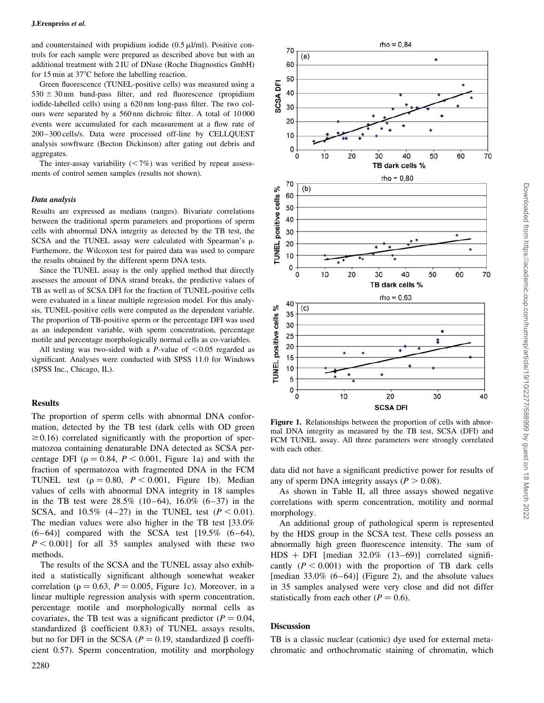and counterstained with propidium iodide  $(0.5 \mu J/ml)$ . Positive controls for each sample were prepared as described above but with an additional treatment with 2 IU of DNase (Roche Diagnostics GmbH) for 15 min at  $37^{\circ}$ C before the labelling reaction.

Green fluorescence (TUNEL-positive cells) was measured using a  $530 \pm 30$  nm band-pass filter, and red fluorescence (propidium iodide-labelled cells) using a 620 nm long-pass filter. The two colours were separated by a 560 nm dichroic filter. A total of 10 000 events were accumulated for each measurement at a flow rate of 200–300 cells/s. Data were processed off-line by CELLQUEST analysis sowftware (Becton Dickinson) after gating out debris and aggregates.

The inter-assay variability  $(< 7\%)$  was verified by repeat assessments of control semen samples (results not shown).

#### Data analysis

Results are expressed as medians (ranges). Bivariate correlations between the traditional sperm parameters and proportions of sperm cells with abnormal DNA integrity as detected by the TB test, the SCSA and the TUNEL assay were calculated with Spearman's  $\rho$ . Furthemore, the Wilcoxon test for paired data was used to compare the results obtained by the different sperm DNA tests.

Since the TUNEL assay is the only applied method that directly assesses the amount of DNA strand breaks, the predictive values of TB as well as of SCSA DFI for the fraction of TUNEL-positive cells were evaluated in a linear multiple regression model. For this analysis, TUNEL-positive cells were computed as the dependent variable. The proportion of TB-positive sperm or the percentage DFI was used as an independent variable, with sperm concentration, percentage motile and percentage morphologically normal cells as co-variables.

All testing was two-sided with a *P*-value of  $< 0.05$  regarded as significant. Analyses were conducted with SPSS 11.0 for Windows (SPSS Inc., Chicago, IL).

#### Results

The proportion of sperm cells with abnormal DNA conformation, detected by the TB test (dark cells with OD green  $\geq$  0.16) correlated significantly with the proportion of spermatozoa containing denaturable DNA detected as SCSA percentage DFI ( $\rho = 0.84$ ,  $P < 0.001$ , Figure 1a) and with the fraction of spermatozoa with fragmented DNA in the FCM TUNEL test ( $\rho = 0.80$ ,  $P < 0.001$ , Figure 1b). Median values of cells with abnormal DNA integrity in 18 samples in the TB test were  $28.5\%$  (10–64), 16.0% (6–37) in the SCSA, and  $10.5\%$  (4-27) in the TUNEL test ( $P < 0.01$ ). The median values were also higher in the TB test [33.0%  $(6-64)$ ] compared with the SCSA test  $[19.5\% (6-64)]$ ,  $P < 0.001$ ] for all 35 samples analysed with these two methods.

The results of the SCSA and the TUNEL assay also exhibited a statistically significant although somewhat weaker correlation ( $\rho = 0.63$ ,  $P = 0.005$ , Figure 1c). Moreover, in a linear multiple regression analysis with sperm concentration, percentage motile and morphologically normal cells as covariates, the TB test was a significant predictor ( $P = 0.04$ , standardized  $\beta$  coefficient 0.83) of TUNEL assays results, but no for DFI in the SCSA ( $P = 0.19$ , standardized  $\beta$  coefficient 0.57). Sperm concentration, motility and morphology



Figure 1. Relationships between the proportion of cells with abnormal DNA integrity as measured by the TB test, SCSA (DFI) and FCM TUNEL assay. All three parameters were strongly correlated with each other.

data did not have a significant predictive power for results of any of sperm DNA integrity assays ( $P > 0.08$ ).

As shown in Table II, all three assays showed negative correlations with sperm concentration, motility and normal morphology.

An additional group of pathological sperm is represented by the HDS group in the SCSA test. These cells possess an abnormally high green fluorescence intensity. The sum of  $HDS + DFI$  [median 32.0% (13–69)] correlated significantly  $(P < 0.001)$  with the proportion of TB dark cells [median  $33.0\%$  (6–64)] (Figure 2), and the absolute values in 35 samples analysed were very close and did not differ statistically from each other ( $P = 0.6$ ).

## Discussion

TB is a classic nuclear (cationic) dye used for external metachromatic and orthochromatic staining of chromatin, which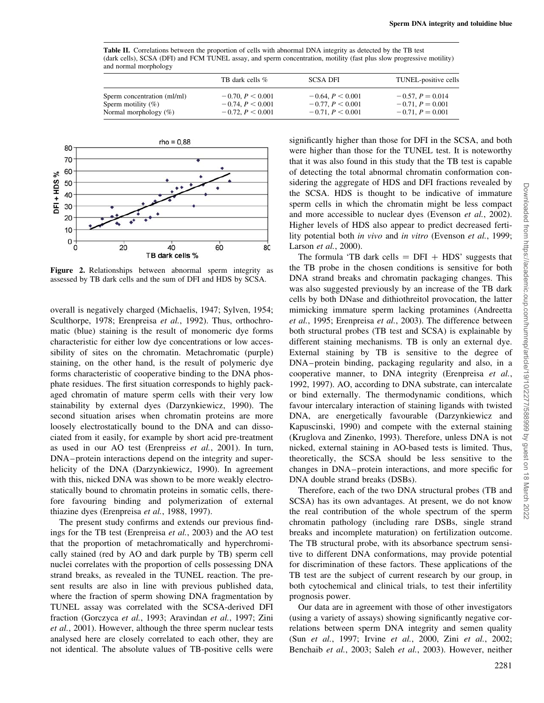Table II. Correlations between the proportion of cells with abnormal DNA integrity as detected by the TB test (dark cells), SCSA (DFI) and FCM TUNEL assay, and sperm concentration, motility (fast plus slow progressive motility) and normal morphology

|                             | TB dark cells %         | SCSA DFI             | TUNEL-positive cells |
|-----------------------------|-------------------------|----------------------|----------------------|
| Sperm concentration (ml/ml) | $-0.70, P \le 0.001$    | $-0.64, P \le 0.001$ | $-0.57, P = 0.014$   |
| Sperm motility $(\%)$       | $-0.74$ , $P \le 0.001$ | $-0.77, P < 0.001$   | $-0.71, P = 0.001$   |
| Normal morphology $(\%)$    | $-0.72, P \le 0.001$    | $-0.71, P \le 0.001$ | $-0.71, P = 0.001$   |



Figure 2. Relationships between abnormal sperm integrity as assessed by TB dark cells and the sum of DFI and HDS by SCSA.

overall is negatively charged (Michaelis, 1947; Sylven, 1954; Sculthorpe, 1978; Erenpreisa et al., 1992). Thus, orthochromatic (blue) staining is the result of monomeric dye forms characteristic for either low dye concentrations or low accessibility of sites on the chromatin. Metachromatic (purple) staining, on the other hand, is the result of polymeric dye forms characteristic of cooperative binding to the DNA phosphate residues. The first situation corresponds to highly packaged chromatin of mature sperm cells with their very low stainability by external dyes (Darzynkiewicz, 1990). The second situation arises when chromatin proteins are more loosely electrostatically bound to the DNA and can dissociated from it easily, for example by short acid pre-treatment as used in our AO test (Erenpreiss et al., 2001). In turn, DNA–protein interactions depend on the integrity and superhelicity of the DNA (Darzynkiewicz, 1990). In agreement with this, nicked DNA was shown to be more weakly electrostatically bound to chromatin proteins in somatic cells, therefore favouring binding and polymerization of external thiazine dyes (Erenpreisa et al., 1988, 1997).

The present study confirms and extends our previous findings for the TB test (Erenpreisa et al., 2003) and the AO test that the proportion of metachromatically and hyperchromically stained (red by AO and dark purple by TB) sperm cell nuclei correlates with the proportion of cells possessing DNA strand breaks, as revealed in the TUNEL reaction. The present results are also in line with previous published data, where the fraction of sperm showing DNA fragmentation by TUNEL assay was correlated with the SCSA-derived DFI fraction (Gorczyca et al., 1993; Aravindan et al., 1997; Zini et al., 2001). However, although the three sperm nuclear tests analysed here are closely correlated to each other, they are not identical. The absolute values of TB-positive cells were significantly higher than those for DFI in the SCSA, and both were higher than those for the TUNEL test. It is noteworthy that it was also found in this study that the TB test is capable of detecting the total abnormal chromatin conformation considering the aggregate of HDS and DFI fractions revealed by the SCSA. HDS is thought to be indicative of immature sperm cells in which the chromatin might be less compact and more accessible to nuclear dyes (Evenson et al., 2002). Higher levels of HDS also appear to predict decreased fertility potential both *in vivo* and *in vitro* (Evenson *et al.*, 1999; Larson et al., 2000).

The formula 'TB dark cells  $=$  DFI  $+$  HDS' suggests that the TB probe in the chosen conditions is sensitive for both DNA strand breaks and chromatin packaging changes. This was also suggested previously by an increase of the TB dark cells by both DNase and dithiothreitol provocation, the latter mimicking immature sperm lacking protamines (Andreetta et al., 1995; Erenpreisa et al., 2003). The difference between both structural probes (TB test and SCSA) is explainable by different staining mechanisms. TB is only an external dye. External staining by TB is sensitive to the degree of DNA–protein binding, packaging regularity and also, in a cooperative manner, to DNA integrity (Erenpreisa et al., 1992, 1997). AO, according to DNA substrate, can intercalate or bind externally. The thermodynamic conditions, which favour intercalary interaction of staining ligands with twisted DNA, are energetically favourable (Darzynkiewicz and Kapuscinski, 1990) and compete with the external staining (Kruglova and Zinenko, 1993). Therefore, unless DNA is not nicked, external staining in AO-based tests is limited. Thus, theoretically, the SCSA should be less sensitive to the changes in DNA–protein interactions, and more specific for DNA double strand breaks (DSBs).

Therefore, each of the two DNA structural probes (TB and SCSA) has its own advantages. At present, we do not know the real contribution of the whole spectrum of the sperm chromatin pathology (including rare DSBs, single strand breaks and incomplete maturation) on fertilization outcome. The TB structural probe, with its absorbance spectrum sensitive to different DNA conformations, may provide potential for discrimination of these factors. These applications of the TB test are the subject of current research by our group, in both cytochemical and clinical trials, to test their infertility prognosis power.

Our data are in agreement with those of other investigators (using a variety of assays) showing significantly negative correlations between sperm DNA integrity and semen quality (Sun et al., 1997; Irvine et al., 2000, Zini et al., 2002; Benchaib et al., 2003; Saleh et al., 2003). However, neither